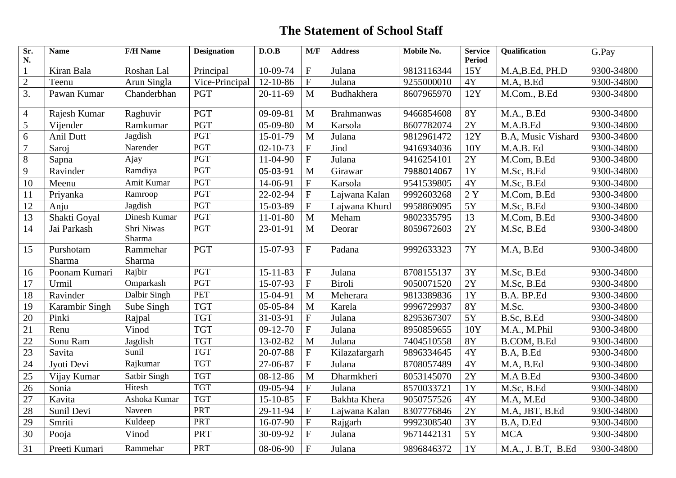## **The Statement of School Staff**

| Sr.<br>N.       | <b>Name</b>      | <b>F/H Name</b>      | <b>Designation</b> | D.O.B          | M/F                       | <b>Address</b>      | Mobile No. | <b>Service</b><br><b>Period</b> | <b>Qualification</b>      | G.Pay      |
|-----------------|------------------|----------------------|--------------------|----------------|---------------------------|---------------------|------------|---------------------------------|---------------------------|------------|
| $\mathbf{1}$    | Kiran Bala       | Roshan Lal           | Principal          | 10-09-74       | $\boldsymbol{\mathrm{F}}$ | Julana              | 9813116344 | 15Y                             | M.A,B.Ed, PH.D            | 9300-34800 |
| $\overline{2}$  | Teenu            | Arun Singla          | Vice-Principal     | $12 - 10 - 86$ | $\boldsymbol{\mathrm{F}}$ | Julana              | 9255000010 | 4Y                              | M.A, B.Ed                 | 9300-34800 |
| 3.              | Pawan Kumar      | Chanderbhan          | <b>PGT</b>         | $20 - 11 - 69$ | M                         | Budhakhera          | 8607965970 | 12Y                             | M.Com., B.Ed              | 9300-34800 |
|                 |                  |                      |                    |                |                           |                     |            |                                 |                           |            |
| $\overline{4}$  | Rajesh Kumar     | Raghuvir             | <b>PGT</b>         | $09-09-81$     | M                         | <b>Brahmanwas</b>   | 9466854608 | <b>8Y</b>                       | M.A., B.Ed                | 9300-34800 |
| 5               | Vijender         | Ramkumar             | <b>PGT</b>         | 05-09-80       | M                         | Karsola             | 8607782074 | 2Y                              | M.A.B.Ed                  | 9300-34800 |
| 6               | <b>Anil Dutt</b> | Jagdish              | PGT                | 15-01-79       | $\mathbf{M}$              | Julana              | 9812961472 | 12Y                             | <b>B.A. Music Vishard</b> | 9300-34800 |
| $\overline{7}$  | Saroj            | Narender             | <b>PGT</b>         | $02 - 10 - 73$ | $\boldsymbol{\mathrm{F}}$ | Jind                | 9416934036 | 10Y                             | M.A.B. Ed                 | 9300-34800 |
| $8\,$           | Sapna            | Ajay                 | <b>PGT</b>         | 11-04-90       | $\rm F$                   | Julana              | 9416254101 | 2Y                              | M.Com, B.Ed               | 9300-34800 |
| 9               | Ravinder         | Ramdiya              | <b>PGT</b>         | 05-03-91       | M                         | Girawar             | 7988014067 | 1Y                              | M.Sc, B.Ed                | 9300-34800 |
| 10              | Meenu            | Amit Kumar           | PGT                | 14-06-91       | $\boldsymbol{\mathrm{F}}$ | Karsola             | 9541539805 | 4Y                              | M.Sc, B.Ed                | 9300-34800 |
| 11              | Priyanka         | Ramroop              | <b>PGT</b>         | 22-02-94       | ${\bf F}$                 | Lajwana Kalan       | 9992603268 | 2Y                              | M.Com, B.Ed               | 9300-34800 |
| 12              | Anju             | Jagdish              | PGT                | 15-03-89       | ${\bf F}$                 | Lajwana Khurd       | 9958869095 | 5Y                              | M.Sc, B.Ed                | 9300-34800 |
| 13              | Shakti Goyal     | Dinesh Kumar         | <b>PGT</b>         | $11-01-80$     | M                         | Meham               | 9802335795 | 13                              | M.Com, B.Ed               | 9300-34800 |
| 14              | Jai Parkash      | Shri Niwas<br>Sharma | <b>PGT</b>         | 23-01-91       | M                         | Deorar              | 8059672603 | 2Y                              | M.Sc, B.Ed                | 9300-34800 |
| 15              | Purshotam        | Rammehar             | <b>PGT</b>         | 15-07-93       | $\boldsymbol{\mathrm{F}}$ | Padana              | 9992633323 | <b>7Y</b>                       | M.A, B.Ed                 | 9300-34800 |
|                 | Sharma           | Sharma               |                    |                |                           |                     |            |                                 |                           |            |
| 16              | Poonam Kumari    | Rajbir               | <b>PGT</b>         | $15 - 11 - 83$ | $\boldsymbol{\mathrm{F}}$ | Julana              | 8708155137 | 3Y                              | M.Sc, B.Ed                | 9300-34800 |
| 17              | Urmil            | Omparkash            | PGT                | 15-07-93       | $\mathbf{F}$              | <b>Biroli</b>       | 9050071520 | 2Y                              | M.Sc, B.Ed                | 9300-34800 |
| 18              | Ravinder         | Dalbir Singh         | PET                | 15-04-91       | M                         | Meherara            | 9813389836 | 1Y                              | B.A. BP.Ed                | 9300-34800 |
| 19              | Karambir Singh   | Sube Singh           | <b>TGT</b>         | $05 - 05 - 84$ | M                         | Karela              | 9996729937 | <b>8Y</b>                       | M.Sc.                     | 9300-34800 |
| 20              | Pinki            | Rajpal               | <b>TGT</b>         | 31-03-91       | $\boldsymbol{\mathrm{F}}$ | Julana              | 8295367307 | 5Y                              | B.Sc, B.Ed                | 9300-34800 |
| 21              | Renu             | Vinod                | <b>TGT</b>         | $09-12-70$     | $\boldsymbol{\mathrm{F}}$ | Julana              | 8950859655 | 10Y                             | M.A., M.Phil              | 9300-34800 |
| 22              | Sonu Ram         | Jagdish              | <b>TGT</b>         | 13-02-82       | M                         | Julana              | 7404510558 | <b>8Y</b>                       | B.COM, B.Ed               | 9300-34800 |
| 23              | Savita           | Sunil                | <b>TGT</b>         | 20-07-88       | ${\bf F}$                 | Kilazafargarh       | 9896334645 | 4Y                              | B.A, B.Ed                 | 9300-34800 |
| $\overline{24}$ | Jyoti Devi       | Rajkumar             | <b>TGT</b>         | 27-06-87       | ${\bf F}$                 | Julana              | 8708057489 | 4Y                              | M.A, B.Ed                 | 9300-34800 |
| 25              | Vijay Kumar      | Satbir Singh         | <b>TGT</b>         | 08-12-86       | M                         | Dharmkheri          | 8053145070 | 2Y                              | M.A B.Ed                  | 9300-34800 |
| 26              | Sonia            | Hitesh               | <b>TGT</b>         | 09-05-94       | $\boldsymbol{\mathrm{F}}$ | Julana              | 8570033721 | 1Y                              | M.Sc, B.Ed                | 9300-34800 |
| 27              | Kavita           | Ashoka Kumar         | <b>TGT</b>         | $15 - 10 - 85$ | $\boldsymbol{\mathrm{F}}$ | <b>Bakhta Khera</b> | 9050757526 | 4Y                              | M.A, M.Ed                 | 9300-34800 |
| 28              | Sunil Devi       | $\overline{N}$ aveen | PRT                | 29-11-94       | $\boldsymbol{\mathrm{F}}$ | Lajwana Kalan       | 8307776846 | 2Y                              | M.A, JBT, B.Ed            | 9300-34800 |
| 29              | Smriti           | Kuldeep              | <b>PRT</b>         | 16-07-90       | ${\bf F}$                 | Rajgarh             | 9992308540 | 3Y                              | B.A, D.Ed                 | 9300-34800 |
| 30              | Pooja            | Vinod                | PRT                | 30-09-92       | ${\bf F}$                 | Julana              | 9671442131 | 5Y                              | <b>MCA</b>                | 9300-34800 |
| 31              | Preeti Kumari    | Rammehar             | PRT                | 08-06-90       | $\boldsymbol{\mathrm{F}}$ | Julana              | 9896846372 | 1Y                              | M.A., J. B.T, B.Ed        | 9300-34800 |